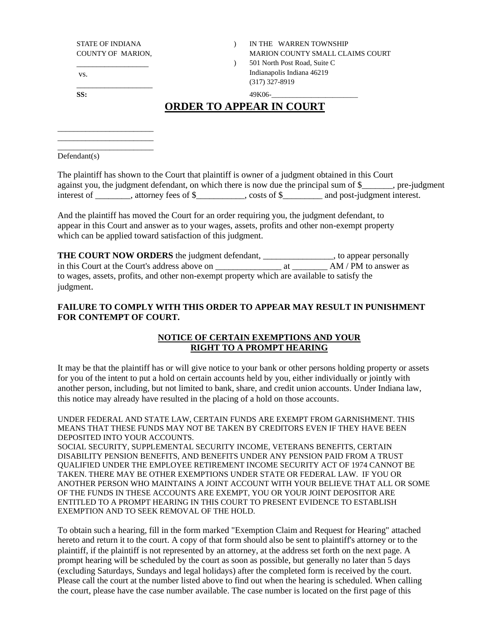\_\_\_\_\_\_\_\_\_\_\_\_\_\_\_\_\_\_

\_\_\_\_\_\_\_\_\_\_\_\_\_\_\_\_\_\_\_\_\_\_\_\_ \_\_\_\_\_\_\_\_\_\_\_\_\_\_\_\_\_\_\_\_\_\_\_\_ \_\_\_\_\_\_\_\_\_\_\_\_\_\_\_\_\_\_\_\_\_\_\_\_

STATE OF INDIANA  $\qquad \qquad$  ) IN THE WARREN TOWNSHIP COUNTY OF MARION, THE MARION COUNTY SMALL CLAIMS COURT ) 501 North Post Road, Suite C Indianapolis Indiana 46219 (317) 327-8919

vs. \_\_\_\_\_\_\_\_\_\_\_\_\_\_\_\_\_\_\_

## **ORDER TO APPEAR IN COURT**

**SS:** 49K06-\_\_\_\_\_\_\_\_\_\_\_\_\_\_\_\_\_\_\_\_\_\_\_\_

Defendant(s)

|             | The plaintiff has shown to the Court that plaintiff is owner of a judgment obtained in this Court |             |                             |                       |
|-------------|---------------------------------------------------------------------------------------------------|-------------|-----------------------------|-----------------------|
|             | against you, the judgment defendant, on which there is now due the principal sum of \$            |             |                             | $\Box$ , pre-judgment |
| interest of | attorney fees of \$                                                                               | costs of \$ | and post-judgment interest. |                       |

And the plaintiff has moved the Court for an order requiring you, the judgment defendant, to appear in this Court and answer as to your wages, assets, profits and other non-exempt property which can be applied toward satisfaction of this judgment.

**THE COURT NOW ORDERS** the judgment defendant, \_\_\_\_\_\_\_\_\_\_\_\_\_\_\_\_, to appear personally in this Court at the Court's address above on \_\_\_\_\_\_\_\_\_\_\_\_\_\_\_ at \_\_\_\_\_\_\_\_ AM / PM to answer as to wages, assets, profits, and other non-exempt property which are available to satisfy the judgment.

## **FAILURE TO COMPLY WITH THIS ORDER TO APPEAR MAY RESULT IN PUNISHMENT FOR CONTEMPT OF COURT.**

## **NOTICE OF CERTAIN EXEMPTIONS AND YOUR RIGHT TO A PROMPT HEARING**

It may be that the plaintiff has or will give notice to your bank or other persons holding property or assets for you of the intent to put a hold on certain accounts held by you, either individually or jointly with another person, including, but not limited to bank, share, and credit union accounts. Under Indiana law, this notice may already have resulted in the placing of a hold on those accounts.

UNDER FEDERAL AND STATE LAW, CERTAIN FUNDS ARE EXEMPT FROM GARNISHMENT. THIS MEANS THAT THESE FUNDS MAY NOT BE TAKEN BY CREDITORS EVEN IF THEY HAVE BEEN DEPOSITED INTO YOUR ACCOUNTS.

SOCIAL SECURITY, SUPPLEMENTAL SECURITY INCOME, VETERANS BENEFITS, CERTAIN DISABILITY PENSION BENEFITS, AND BENEFITS UNDER ANY PENSION PAID FROM A TRUST QUALIFIED UNDER THE EMPLOYEE RETIREMENT INCOME SECURITY ACT OF 1974 CANNOT BE TAKEN. THERE MAY BE OTHER EXEMPTIONS UNDER STATE OR FEDERAL LAW. IF YOU OR ANOTHER PERSON WHO MAINTAINS A JOINT ACCOUNT WITH YOUR BELIEVE THAT ALL OR SOME OF THE FUNDS IN THESE ACCOUNTS ARE EXEMPT, YOU OR YOUR JOINT DEPOSITOR ARE ENTITLED TO A PROMPT HEARING IN THIS COURT TO PRESENT EVIDENCE TO ESTABLISH EXEMPTION AND TO SEEK REMOVAL OF THE HOLD.

To obtain such a hearing, fill in the form marked "Exemption Claim and Request for Hearing" attached hereto and return it to the court. A copy of that form should also be sent to plaintiff's attorney or to the plaintiff, if the plaintiff is not represented by an attorney, at the address set forth on the next page. A prompt hearing will be scheduled by the court as soon as possible, but generally no later than 5 days (excluding Saturdays, Sundays and legal holidays) after the completed form is received by the court. Please call the court at the number listed above to find out when the hearing is scheduled. When calling the court, please have the case number available. The case number is located on the first page of this